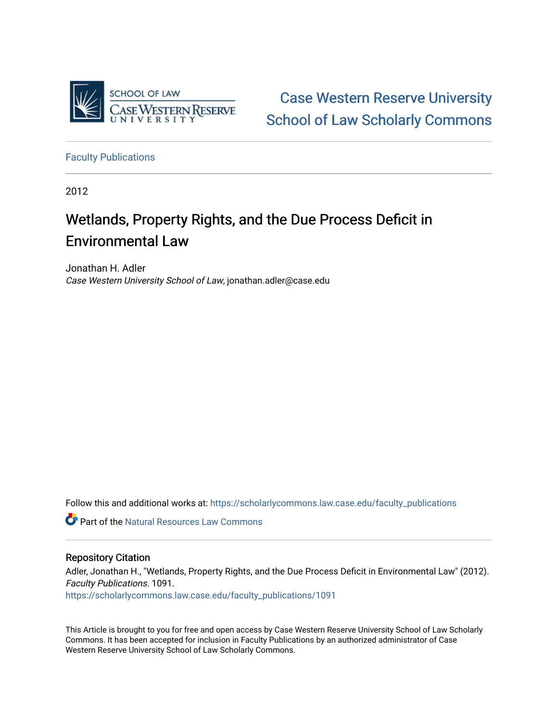

[Case Western Reserve University](https://scholarlycommons.law.case.edu/)  [School of Law Scholarly Commons](https://scholarlycommons.law.case.edu/) 

[Faculty Publications](https://scholarlycommons.law.case.edu/faculty_publications)

2012

# Wetlands, Property Rights, and the Due Process Deficit in Environmental Law

Jonathan H. Adler Case Western University School of Law, jonathan.adler@case.edu

Follow this and additional works at: [https://scholarlycommons.law.case.edu/faculty\\_publications](https://scholarlycommons.law.case.edu/faculty_publications?utm_source=scholarlycommons.law.case.edu%2Ffaculty_publications%2F1091&utm_medium=PDF&utm_campaign=PDFCoverPages)

Part of the [Natural Resources Law Commons](http://network.bepress.com/hgg/discipline/863?utm_source=scholarlycommons.law.case.edu%2Ffaculty_publications%2F1091&utm_medium=PDF&utm_campaign=PDFCoverPages)

# Repository Citation

Adler, Jonathan H., "Wetlands, Property Rights, and the Due Process Deficit in Environmental Law" (2012). Faculty Publications. 1091.

[https://scholarlycommons.law.case.edu/faculty\\_publications/1091](https://scholarlycommons.law.case.edu/faculty_publications/1091?utm_source=scholarlycommons.law.case.edu%2Ffaculty_publications%2F1091&utm_medium=PDF&utm_campaign=PDFCoverPages) 

This Article is brought to you for free and open access by Case Western Reserve University School of Law Scholarly Commons. It has been accepted for inclusion in Faculty Publications by an authorized administrator of Case Western Reserve University School of Law Scholarly Commons.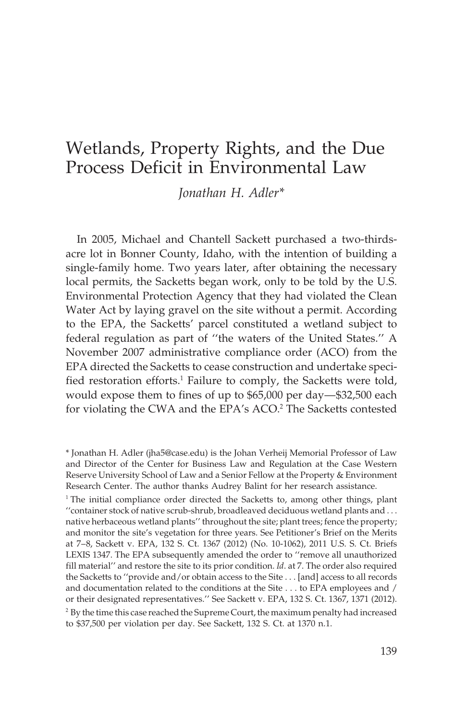# Wetlands, Property Rights, and the Due Process Deficit in Environmental Law

*Jonathan H. Adler\**

In 2005, Michael and Chantell Sackett purchased a two-thirdsacre lot in Bonner County, Idaho, with the intention of building a single-family home. Two years later, after obtaining the necessary local permits, the Sacketts began work, only to be told by the U.S. Environmental Protection Agency that they had violated the Clean Water Act by laying gravel on the site without a permit. According to the EPA, the Sacketts' parcel constituted a wetland subject to federal regulation as part of ''the waters of the United States.'' A November 2007 administrative compliance order (ACO) from the EPA directed the Sacketts to cease construction and undertake specified restoration efforts.<sup>1</sup> Failure to comply, the Sacketts were told, would expose them to fines of up to \$65,000 per day—\$32,500 each for violating the CWA and the EPA's ACO.<sup>2</sup> The Sacketts contested

<sup>\*</sup> Jonathan H. Adler (jha5@case.edu) is the Johan Verheij Memorial Professor of Law and Director of the Center for Business Law and Regulation at the Case Western Reserve University School of Law and a Senior Fellow at the Property & Environment Research Center. The author thanks Audrey Balint for her research assistance.

 $1$ <sup>1</sup> The initial compliance order directed the Sacketts to, among other things, plant ''container stock of native scrub-shrub, broadleaved deciduous wetland plants and... native herbaceous wetland plants'' throughout the site; plant trees; fence the property; and monitor the site's vegetation for three years. See Petitioner's Brief on the Merits at 7–8, Sackett v. EPA, 132 S. Ct. 1367 (2012) (No. 10-1062), 2011 U.S. S. Ct. Briefs LEXIS 1347. The EPA subsequently amended the order to ''remove all unauthorized fill material'' and restore the site to its prior condition. *Id*. at 7. The order also required the Sacketts to ''provide and/or obtain access to the Site . . . [and] access to all records and documentation related to the conditions at the Site . . . to EPA employees and / or their designated representatives.'' See Sackett v. EPA, 132 S. Ct. 1367, 1371 (2012). <sup>2</sup> By the time this case reached the Supreme Court, the maximum penalty had increased to \$37,500 per violation per day. See Sackett, 132 S. Ct. at 1370 n.1.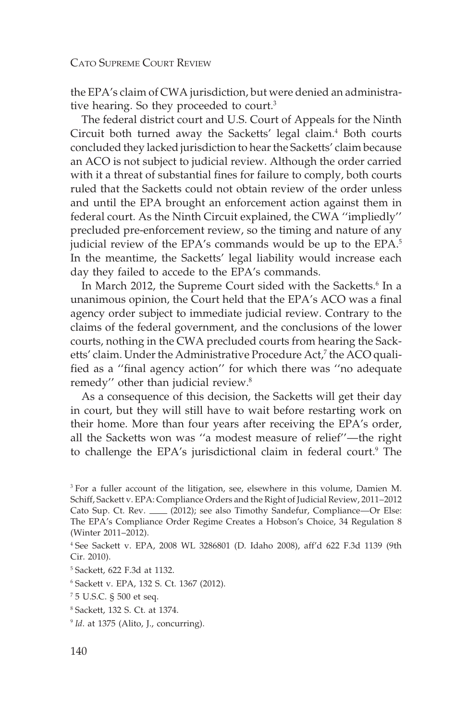the EPA's claim of CWA jurisdiction, but were denied an administrative hearing. So they proceeded to court.<sup>3</sup>

The federal district court and U.S. Court of Appeals for the Ninth Circuit both turned away the Sacketts' legal claim.<sup>4</sup> Both courts concluded they lacked jurisdiction to hear the Sacketts' claim because an ACO is not subject to judicial review. Although the order carried with it a threat of substantial fines for failure to comply, both courts ruled that the Sacketts could not obtain review of the order unless and until the EPA brought an enforcement action against them in federal court. As the Ninth Circuit explained, the CWA ''impliedly'' precluded pre-enforcement review, so the timing and nature of any judicial review of the EPA's commands would be up to the EPA.<sup>5</sup> In the meantime, the Sacketts' legal liability would increase each day they failed to accede to the EPA's commands.

In March 2012, the Supreme Court sided with the Sacketts.<sup>6</sup> In a unanimous opinion, the Court held that the EPA's ACO was a final agency order subject to immediate judicial review. Contrary to the claims of the federal government, and the conclusions of the lower courts, nothing in the CWA precluded courts from hearing the Sacketts' claim. Under the Administrative Procedure Act,<sup>7</sup> the ACO qualified as a ''final agency action'' for which there was ''no adequate remedy" other than judicial review.<sup>8</sup>

As a consequence of this decision, the Sacketts will get their day in court, but they will still have to wait before restarting work on their home. More than four years after receiving the EPA's order, all the Sacketts won was ''a modest measure of relief''—the right to challenge the EPA's jurisdictional claim in federal court.<sup>9</sup> The

<sup>&</sup>lt;sup>3</sup> For a fuller account of the litigation, see, elsewhere in this volume, Damien M. Schiff, Sackett v. EPA: Compliance Orders and the Right of Judicial Review, 2011–2012 Cato Sup. Ct. Rev. \_\_\_ (2012); see also Timothy Sandefur, Compliance—Or Else: The EPA's Compliance Order Regime Creates a Hobson's Choice, 34 Regulation 8 (Winter 2011–2012).

<sup>4</sup> See Sackett v. EPA, 2008 WL 3286801 (D. Idaho 2008), aff'd 622 F.3d 1139 (9th Cir. 2010).

<sup>5</sup> Sackett, 622 F.3d at 1132.

<sup>6</sup> Sackett v. EPA, 132 S. Ct. 1367 (2012).

<sup>7</sup> 5 U.S.C. § 500 et seq.

<sup>8</sup> Sackett, 132 S. Ct. at 1374.

<sup>&</sup>lt;sup>9</sup> *Id.* at 1375 (Alito, J., concurring).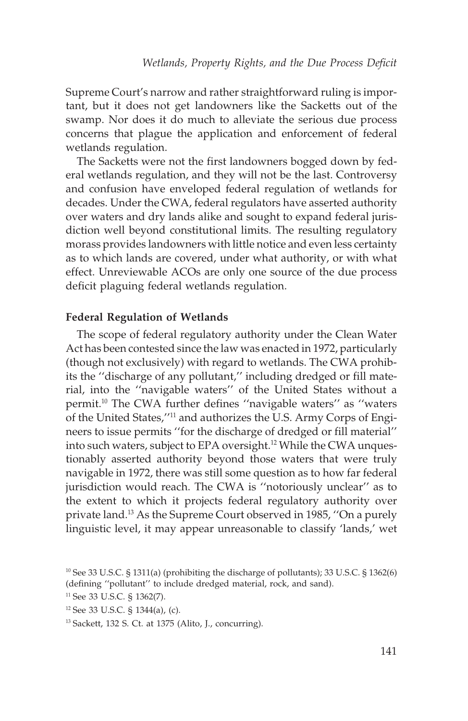Supreme Court's narrow and rather straightforward ruling is important, but it does not get landowners like the Sacketts out of the swamp. Nor does it do much to alleviate the serious due process concerns that plague the application and enforcement of federal wetlands regulation.

The Sacketts were not the first landowners bogged down by federal wetlands regulation, and they will not be the last. Controversy and confusion have enveloped federal regulation of wetlands for decades. Under the CWA, federal regulators have asserted authority over waters and dry lands alike and sought to expand federal jurisdiction well beyond constitutional limits. The resulting regulatory morass provides landowners with little notice and even less certainty as to which lands are covered, under what authority, or with what effect. Unreviewable ACOs are only one source of the due process deficit plaguing federal wetlands regulation.

## **Federal Regulation of Wetlands**

The scope of federal regulatory authority under the Clean Water Act has been contested since the law was enacted in 1972, particularly (though not exclusively) with regard to wetlands. The CWA prohibits the ''discharge of any pollutant,'' including dredged or fill material, into the ''navigable waters'' of the United States without a permit.10 The CWA further defines ''navigable waters'' as ''waters of the United States,''11 and authorizes the U.S. Army Corps of Engineers to issue permits ''for the discharge of dredged or fill material'' into such waters, subject to EPA oversight.<sup>12</sup> While the CWA unquestionably asserted authority beyond those waters that were truly navigable in 1972, there was still some question as to how far federal jurisdiction would reach. The CWA is ''notoriously unclear'' as to the extent to which it projects federal regulatory authority over private land.13 As the Supreme Court observed in 1985, ''On a purely linguistic level, it may appear unreasonable to classify 'lands,' wet

<sup>10</sup> See 33 U.S.C. § 1311(a) (prohibiting the discharge of pollutants); 33 U.S.C. § 1362(6) (defining ''pollutant'' to include dredged material, rock, and sand).

<sup>11</sup> See 33 U.S.C. § 1362(7).

<sup>12</sup> See 33 U.S.C. § 1344(a), (c).

<sup>13</sup> Sackett, 132 S. Ct. at 1375 (Alito, J., concurring).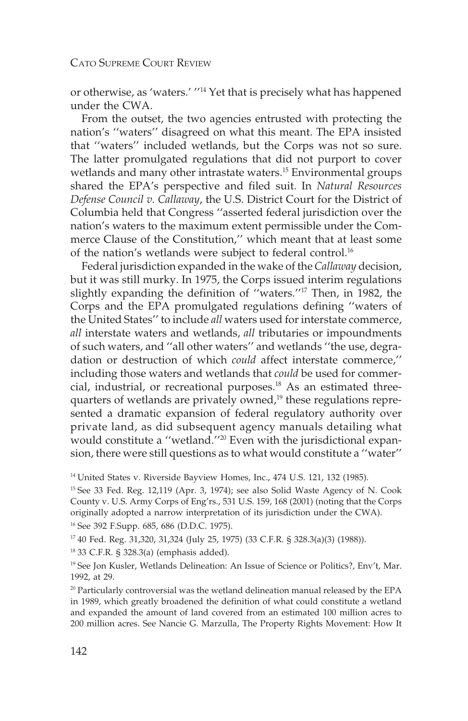or otherwise, as 'waters.' ''14 Yet that is precisely what has happened under the CWA.

From the outset, the two agencies entrusted with protecting the nation's ''waters'' disagreed on what this meant. The EPA insisted that ''waters'' included wetlands, but the Corps was not so sure. The latter promulgated regulations that did not purport to cover wetlands and many other intrastate waters.<sup>15</sup> Environmental groups shared the EPA's perspective and filed suit. In *Natural Resources Defense Council v. Callaway*, the U.S. District Court for the District of Columbia held that Congress ''asserted federal jurisdiction over the nation's waters to the maximum extent permissible under the Commerce Clause of the Constitution,'' which meant that at least some of the nation's wetlands were subject to federal control.16

Federal jurisdiction expanded in the wake of the *Callaway* decision, but it was still murky. In 1975, the Corps issued interim regulations slightly expanding the definition of ''waters.''17 Then, in 1982, the Corps and the EPA promulgated regulations defining ''waters of the United States'' to include *all* waters used for interstate commerce, *all* interstate waters and wetlands, *all* tributaries or impoundments of such waters, and ''all other waters'' and wetlands ''the use, degradation or destruction of which *could* affect interstate commerce,'' including those waters and wetlands that *could* be used for commercial, industrial, or recreational purposes.<sup>18</sup> As an estimated threequarters of wetlands are privately owned,<sup>19</sup> these regulations represented a dramatic expansion of federal regulatory authority over private land, as did subsequent agency manuals detailing what would constitute a ''wetland.''20 Even with the jurisdictional expansion, there were still questions as to what would constitute a ''water''

<sup>14</sup> United States v. Riverside Bayview Homes, Inc., 474 U.S. 121, 132 (1985).

<sup>15</sup> See 33 Fed. Reg. 12,119 (Apr. 3, 1974); see also Solid Waste Agency of N. Cook County v. U.S. Army Corps of Eng'rs., 531 U.S. 159, 168 (2001) (noting that the Corps originally adopted a narrow interpretation of its jurisdiction under the CWA).

<sup>16</sup> See 392 F.Supp. 685, 686 (D.D.C. 1975).

<sup>17</sup> 40 Fed. Reg. 31,320, 31,324 (July 25, 1975) (33 C.F.R. § 328.3(a)(3) (1988)).

<sup>18</sup> 33 C.F.R. § 328.3(a) (emphasis added).

<sup>&</sup>lt;sup>19</sup> See Jon Kusler, Wetlands Delineation: An Issue of Science or Politics?, Env't, Mar. 1992, at 29.

<sup>&</sup>lt;sup>20</sup> Particularly controversial was the wetland delineation manual released by the EPA in 1989, which greatly broadened the definition of what could constitute a wetland and expanded the amount of land covered from an estimated 100 million acres to 200 million acres. See Nancie G. Marzulla, The Property Rights Movement: How It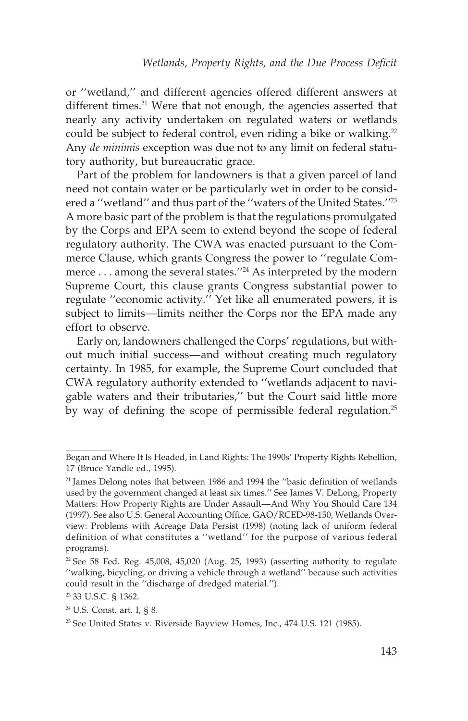or ''wetland,'' and different agencies offered different answers at different times.<sup>21</sup> Were that not enough, the agencies asserted that nearly any activity undertaken on regulated waters or wetlands could be subject to federal control, even riding a bike or walking. $22$ Any *de minimis* exception was due not to any limit on federal statutory authority, but bureaucratic grace.

Part of the problem for landowners is that a given parcel of land need not contain water or be particularly wet in order to be considered a ''wetland'' and thus part of the ''waters of the United States.''23 A more basic part of the problem is that the regulations promulgated by the Corps and EPA seem to extend beyond the scope of federal regulatory authority. The CWA was enacted pursuant to the Commerce Clause, which grants Congress the power to ''regulate Commerce... among the several states.''24 As interpreted by the modern Supreme Court, this clause grants Congress substantial power to regulate ''economic activity.'' Yet like all enumerated powers, it is subject to limits––limits neither the Corps nor the EPA made any effort to observe.

Early on, landowners challenged the Corps' regulations, but without much initial success—and without creating much regulatory certainty. In 1985, for example, the Supreme Court concluded that CWA regulatory authority extended to ''wetlands adjacent to navigable waters and their tributaries,'' but the Court said little more by way of defining the scope of permissible federal regulation.<sup>25</sup>

Began and Where It Is Headed, in Land Rights: The 1990s' Property Rights Rebellion, 17 (Bruce Yandle ed., 1995).

<sup>&</sup>lt;sup>21</sup> James Delong notes that between 1986 and 1994 the "basic definition of wetlands" used by the government changed at least six times.'' See James V. DeLong, Property Matters: How Property Rights are Under Assault––And Why You Should Care 134 (1997). See also U.S. General Accounting Office, GAO/RCED-98-150, Wetlands Overview: Problems with Acreage Data Persist (1998) (noting lack of uniform federal definition of what constitutes a ''wetland'' for the purpose of various federal programs).

 $22$  See 58 Fed. Reg. 45,008, 45,020 (Aug. 25, 1993) (asserting authority to regulate ''walking, bicycling, or driving a vehicle through a wetland'' because such activities could result in the ''discharge of dredged material.'').

<sup>23</sup> 33 U.S.C. § 1362.

<sup>24</sup> U.S. Const. art. I, § 8.

<sup>&</sup>lt;sup>25</sup> See United States v. Riverside Bayview Homes, Inc., 474 U.S. 121 (1985).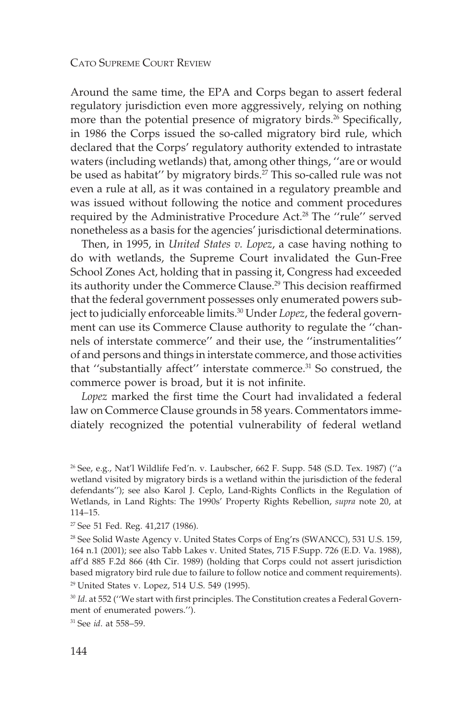Around the same time, the EPA and Corps began to assert federal regulatory jurisdiction even more aggressively, relying on nothing more than the potential presence of migratory birds.<sup>26</sup> Specifically, in 1986 the Corps issued the so-called migratory bird rule, which declared that the Corps' regulatory authority extended to intrastate waters (including wetlands) that, among other things, ''are or would be used as habitat" by migratory birds.<sup>27</sup> This so-called rule was not even a rule at all, as it was contained in a regulatory preamble and was issued without following the notice and comment procedures required by the Administrative Procedure Act.<sup>28</sup> The "rule" served nonetheless as a basis for the agencies' jurisdictional determinations.

Then, in 1995, in *United States v. Lopez*, a case having nothing to do with wetlands, the Supreme Court invalidated the Gun-Free School Zones Act, holding that in passing it, Congress had exceeded its authority under the Commerce Clause.<sup>29</sup> This decision reaffirmed that the federal government possesses only enumerated powers subject to judicially enforceable limits.<sup>30</sup> Under *Lopez*, the federal government can use its Commerce Clause authority to regulate the ''channels of interstate commerce'' and their use, the ''instrumentalities'' of and persons and things in interstate commerce, and those activities that "substantially affect" interstate commerce.<sup>31</sup> So construed, the commerce power is broad, but it is not infinite.

*Lopez* marked the first time the Court had invalidated a federal law on Commerce Clause grounds in 58 years. Commentators immediately recognized the potential vulnerability of federal wetland

<sup>27</sup> See 51 Fed. Reg. 41,217 (1986).

<sup>31</sup> See *id*. at 558–59.

 $26$  See, e.g., Nat'l Wildlife Fed'n. v. Laubscher, 662 F. Supp. 548 (S.D. Tex. 1987) ("a wetland visited by migratory birds is a wetland within the jurisdiction of the federal defendants''); see also Karol J. Ceplo, Land-Rights Conflicts in the Regulation of Wetlands, in Land Rights: The 1990s' Property Rights Rebellion, *supra* note 20, at 114–15.

<sup>&</sup>lt;sup>28</sup> See Solid Waste Agency v. United States Corps of Eng'rs (SWANCC), 531 U.S. 159, 164 n.1 (2001); see also Tabb Lakes v. United States, 715 F.Supp. 726 (E.D. Va. 1988), aff'd 885 F.2d 866 (4th Cir. 1989) (holding that Corps could not assert jurisdiction based migratory bird rule due to failure to follow notice and comment requirements). <sup>29</sup> United States v. Lopez, 514 U.S. 549 (1995).

<sup>&</sup>lt;sup>30</sup> *Id.* at 552 ("We start with first principles. The Constitution creates a Federal Government of enumerated powers.'').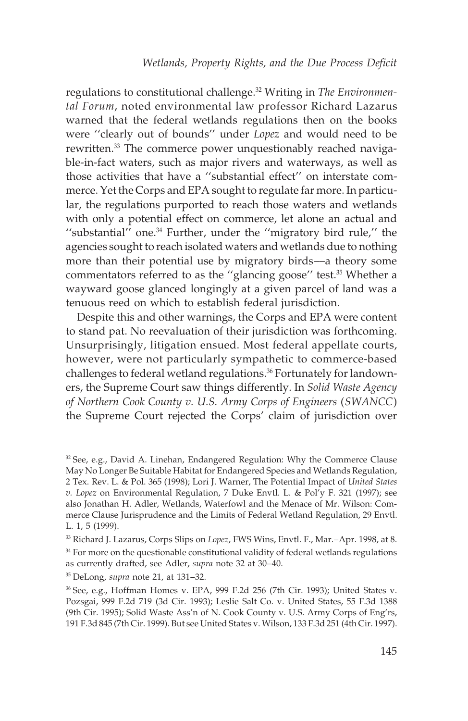regulations to constitutional challenge.32 Writing in *The Environmental Forum*, noted environmental law professor Richard Lazarus warned that the federal wetlands regulations then on the books were ''clearly out of bounds'' under *Lopez* and would need to be rewritten.<sup>33</sup> The commerce power unquestionably reached navigable-in-fact waters, such as major rivers and waterways, as well as those activities that have a ''substantial effect'' on interstate commerce. Yet the Corps and EPA sought to regulate far more. In particular, the regulations purported to reach those waters and wetlands with only a potential effect on commerce, let alone an actual and ''substantial'' one.34 Further, under the ''migratory bird rule,'' the agencies sought to reach isolated waters and wetlands due to nothing more than their potential use by migratory birds––a theory some commentators referred to as the "glancing goose" test.<sup>35</sup> Whether a wayward goose glanced longingly at a given parcel of land was a tenuous reed on which to establish federal jurisdiction.

Despite this and other warnings, the Corps and EPA were content to stand pat. No reevaluation of their jurisdiction was forthcoming. Unsurprisingly, litigation ensued. Most federal appellate courts, however, were not particularly sympathetic to commerce-based challenges to federal wetland regulations.<sup>36</sup> Fortunately for landowners, the Supreme Court saw things differently. In *Solid Waste Agency of Northern Cook County v. U.S. Army Corps of Engineers* (*SWANCC*) the Supreme Court rejected the Corps' claim of jurisdiction over

 $32$  See, e.g., David A. Linehan, Endangered Regulation: Why the Commerce Clause May No Longer Be Suitable Habitat for Endangered Species and Wetlands Regulation, 2 Tex. Rev. L. & Pol. 365 (1998); Lori J. Warner, The Potential Impact of *United States v. Lopez* on Environmental Regulation, 7 Duke Envtl. L. & Pol'y F. 321 (1997); see also Jonathan H. Adler, Wetlands, Waterfowl and the Menace of Mr. Wilson: Commerce Clause Jurisprudence and the Limits of Federal Wetland Regulation, 29 Envtl. L. 1, 5 (1999).

<sup>33</sup> Richard J. Lazarus, Corps Slips on *Lopez*, FWS Wins, Envtl. F., Mar.–Apr. 1998, at 8.  $34$  For more on the questionable constitutional validity of federal wetlands regulations as currently drafted, see Adler, *supra* note 32 at 30–40.

<sup>35</sup> DeLong, *supra* note 21, at 131–32.

<sup>36</sup> See, e.g., Hoffman Homes v. EPA, 999 F.2d 256 (7th Cir. 1993); United States v. Pozsgai, 999 F.2d 719 (3d Cir. 1993); Leslie Salt Co. v. United States, 55 F.3d 1388 (9th Cir. 1995); Solid Waste Ass'n of N. Cook County v. U.S. Army Corps of Eng'rs, 191 F.3d 845 (7th Cir. 1999). But see United States v. Wilson, 133 F.3d 251 (4th Cir. 1997).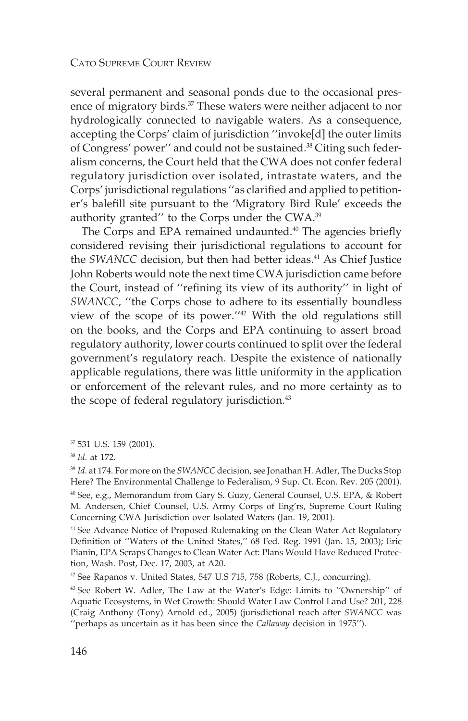several permanent and seasonal ponds due to the occasional presence of migratory birds.<sup>37</sup> These waters were neither adjacent to nor hydrologically connected to navigable waters. As a consequence, accepting the Corps' claim of jurisdiction ''invoke[d] the outer limits of Congress' power'' and could not be sustained.38 Citing such federalism concerns, the Court held that the CWA does not confer federal regulatory jurisdiction over isolated, intrastate waters, and the Corps' jurisdictional regulations ''as clarified and applied to petitioner's balefill site pursuant to the 'Migratory Bird Rule' exceeds the authority granted'' to the Corps under the CWA.39

The Corps and EPA remained undaunted. $40$  The agencies briefly considered revising their jurisdictional regulations to account for the *SWANCC* decision, but then had better ideas.<sup>41</sup> As Chief Justice John Roberts would note the next time CWA jurisdiction came before the Court, instead of ''refining its view of its authority'' in light of *SWANCC*, ''the Corps chose to adhere to its essentially boundless view of the scope of its power.''42 With the old regulations still on the books, and the Corps and EPA continuing to assert broad regulatory authority, lower courts continued to split over the federal government's regulatory reach. Despite the existence of nationally applicable regulations, there was little uniformity in the application or enforcement of the relevant rules, and no more certainty as to the scope of federal regulatory jurisdiction.<sup>43</sup>

<sup>37</sup> 531 U.S. 159 (2001).

<sup>38</sup> *Id*. at 172.

<sup>39</sup> *Id*. at 174. For more on the *SWANCC* decision, see Jonathan H. Adler, The Ducks Stop Here? The Environmental Challenge to Federalism, 9 Sup. Ct. Econ. Rev. 205 (2001). <sup>40</sup> See, e.g., Memorandum from Gary S. Guzy, General Counsel, U.S. EPA, & Robert M. Andersen, Chief Counsel, U.S. Army Corps of Eng'rs, Supreme Court Ruling Concerning CWA Jurisdiction over Isolated Waters (Jan. 19, 2001).

<sup>41</sup> See Advance Notice of Proposed Rulemaking on the Clean Water Act Regulatory Definition of ''Waters of the United States,'' 68 Fed. Reg. 1991 (Jan. 15, 2003); Eric Pianin, EPA Scraps Changes to Clean Water Act: Plans Would Have Reduced Protection, Wash. Post, Dec. 17, 2003, at A20.

<sup>42</sup> See Rapanos v. United States, 547 U.S 715, 758 (Roberts, C.J., concurring).

<sup>43</sup> See Robert W. Adler, The Law at the Water's Edge: Limits to ''Ownership'' of Aquatic Ecosystems, in Wet Growth: Should Water Law Control Land Use? 201, 228 (Craig Anthony (Tony) Arnold ed., 2005) (jurisdictional reach after *SWANCC* was ''perhaps as uncertain as it has been since the *Callaway* decision in 1975'').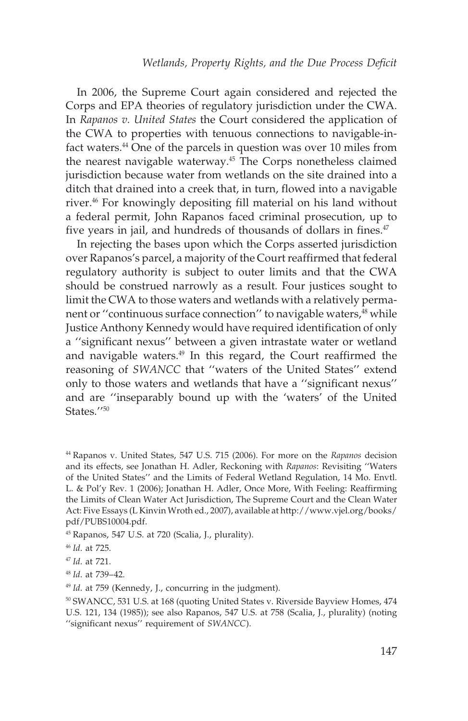In 2006, the Supreme Court again considered and rejected the Corps and EPA theories of regulatory jurisdiction under the CWA. In *Rapanos v. United States* the Court considered the application of the CWA to properties with tenuous connections to navigable-infact waters.<sup>44</sup> One of the parcels in question was over 10 miles from the nearest navigable waterway.<sup>45</sup> The Corps nonetheless claimed jurisdiction because water from wetlands on the site drained into a ditch that drained into a creek that, in turn, flowed into a navigable river.46 For knowingly depositing fill material on his land without a federal permit, John Rapanos faced criminal prosecution, up to five years in jail, and hundreds of thousands of dollars in fines.<sup>47</sup>

In rejecting the bases upon which the Corps asserted jurisdiction over Rapanos's parcel, a majority of the Court reaffirmed that federal regulatory authority is subject to outer limits and that the CWA should be construed narrowly as a result. Four justices sought to limit the CWA to those waters and wetlands with a relatively permanent or "continuous surface connection" to navigable waters,<sup>48</sup> while Justice Anthony Kennedy would have required identification of only a ''significant nexus'' between a given intrastate water or wetland and navigable waters.<sup>49</sup> In this regard, the Court reaffirmed the reasoning of *SWANCC* that ''waters of the United States'' extend only to those waters and wetlands that have a ''significant nexus'' and are ''inseparably bound up with the 'waters' of the United States<sup>"50</sup>

<sup>45</sup> Rapanos, 547 U.S. at 720 (Scalia, J., plurality).

<sup>49</sup> *Id*. at 759 (Kennedy, J., concurring in the judgment).

<sup>44</sup> Rapanos v. United States, 547 U.S. 715 (2006). For more on the *Rapanos* decision and its effects, see Jonathan H. Adler, Reckoning with *Rapanos*: Revisiting ''Waters of the United States'' and the Limits of Federal Wetland Regulation, 14 Mo. Envtl. L. & Pol'y Rev. 1 (2006); Jonathan H. Adler, Once More, With Feeling: Reaffirming the Limits of Clean Water Act Jurisdiction, The Supreme Court and the Clean Water Act: Five Essays (L Kinvin Wroth ed., 2007), available at http://www.vjel.org/books/ pdf/PUBS10004.pdf.

<sup>46</sup> *Id*. at 725.

<sup>47</sup> *Id*. at 721.

<sup>48</sup> *Id*. at 739–42.

<sup>50</sup> SWANCC, 531 U.S. at 168 (quoting United States v. Riverside Bayview Homes, 474 U.S. 121, 134 (1985)); see also Rapanos, 547 U.S. at 758 (Scalia, J., plurality) (noting ''significant nexus'' requirement of *SWANCC*).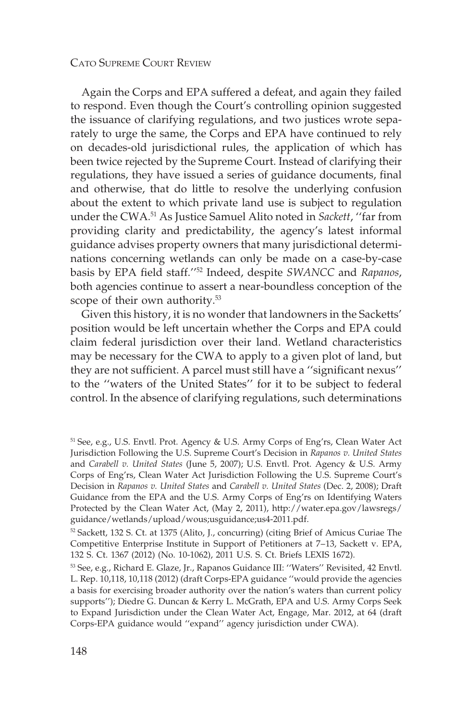Again the Corps and EPA suffered a defeat, and again they failed to respond. Even though the Court's controlling opinion suggested the issuance of clarifying regulations, and two justices wrote separately to urge the same, the Corps and EPA have continued to rely on decades-old jurisdictional rules, the application of which has been twice rejected by the Supreme Court. Instead of clarifying their regulations, they have issued a series of guidance documents, final and otherwise, that do little to resolve the underlying confusion about the extent to which private land use is subject to regulation under the CWA.51 As Justice Samuel Alito noted in *Sackett*, ''far from providing clarity and predictability, the agency's latest informal guidance advises property owners that many jurisdictional determinations concerning wetlands can only be made on a case-by-case basis by EPA field staff.''52 Indeed, despite *SWANCC* and *Rapanos*, both agencies continue to assert a near-boundless conception of the scope of their own authority.<sup>53</sup>

Given this history, it is no wonder that landowners in the Sacketts' position would be left uncertain whether the Corps and EPA could claim federal jurisdiction over their land. Wetland characteristics may be necessary for the CWA to apply to a given plot of land, but they are not sufficient. A parcel must still have a ''significant nexus'' to the ''waters of the United States'' for it to be subject to federal control. In the absence of clarifying regulations, such determinations

<sup>51</sup> See, e.g., U.S. Envtl. Prot. Agency & U.S. Army Corps of Eng'rs, Clean Water Act Jurisdiction Following the U.S. Supreme Court's Decision in *Rapanos v. United States* and *Carabell v. United States* (June 5, 2007); U.S. Envtl. Prot. Agency & U.S. Army Corps of Eng'rs, Clean Water Act Jurisdiction Following the U.S. Supreme Court's Decision in *Rapanos v. United States* and *Carabell v. United States* (Dec. 2, 2008); Draft Guidance from the EPA and the U.S. Army Corps of Eng'rs on Identifying Waters Protected by the Clean Water Act, (May 2, 2011), http://water.epa.gov/lawsregs/ guidance/wetlands/upload/wous;usguidance;us4-2011.pdf.

<sup>52</sup> Sackett, 132 S. Ct. at 1375 (Alito, J., concurring) (citing Brief of Amicus Curiae The Competitive Enterprise Institute in Support of Petitioners at 7–13, Sackett v. EPA, 132 S. Ct. 1367 (2012) (No. 10-1062), 2011 U.S. S. Ct. Briefs LEXIS 1672).

<sup>53</sup> See, e.g., Richard E. Glaze, Jr., Rapanos Guidance III: ''Waters'' Revisited, 42 Envtl. L. Rep. 10,118, 10,118 (2012) (draft Corps-EPA guidance ''would provide the agencies a basis for exercising broader authority over the nation's waters than current policy supports''); Diedre G. Duncan & Kerry L. McGrath, EPA and U.S. Army Corps Seek to Expand Jurisdiction under the Clean Water Act, Engage, Mar. 2012, at 64 (draft Corps-EPA guidance would ''expand'' agency jurisdiction under CWA).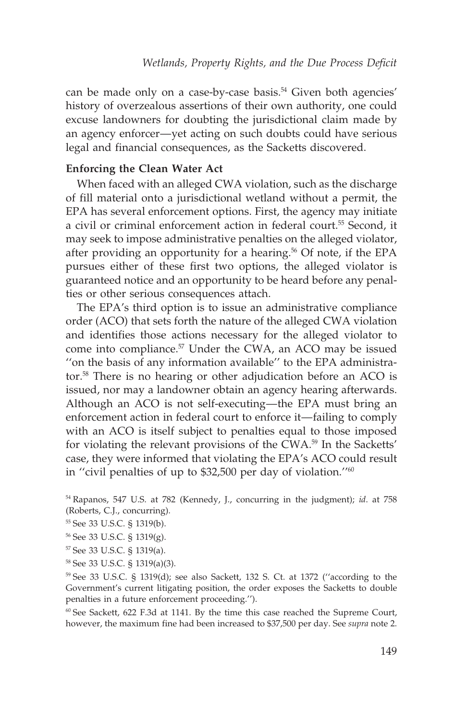can be made only on a case-by-case basis.<sup>54</sup> Given both agencies' history of overzealous assertions of their own authority, one could excuse landowners for doubting the jurisdictional claim made by an agency enforcer—yet acting on such doubts could have serious legal and financial consequences, as the Sacketts discovered.

#### **Enforcing the Clean Water Act**

When faced with an alleged CWA violation, such as the discharge of fill material onto a jurisdictional wetland without a permit, the EPA has several enforcement options. First, the agency may initiate a civil or criminal enforcement action in federal court.<sup>55</sup> Second, it may seek to impose administrative penalties on the alleged violator, after providing an opportunity for a hearing.<sup>56</sup> Of note, if the EPA pursues either of these first two options, the alleged violator is guaranteed notice and an opportunity to be heard before any penalties or other serious consequences attach.

The EPA's third option is to issue an administrative compliance order (ACO) that sets forth the nature of the alleged CWA violation and identifies those actions necessary for the alleged violator to come into compliance.<sup>57</sup> Under the CWA, an ACO may be issued ''on the basis of any information available'' to the EPA administrator.58 There is no hearing or other adjudication before an ACO is issued, nor may a landowner obtain an agency hearing afterwards. Although an ACO is not self-executing—the EPA must bring an enforcement action in federal court to enforce it—failing to comply with an ACO is itself subject to penalties equal to those imposed for violating the relevant provisions of the CWA.<sup>59</sup> In the Sacketts' case, they were informed that violating the EPA's ACO could result in ''civil penalties of up to \$32,500 per day of violation.''60

<sup>54</sup> Rapanos, 547 U.S. at 782 (Kennedy, J., concurring in the judgment); *id*. at 758 (Roberts, C.J., concurring).

- <sup>55</sup> See 33 U.S.C. § 1319(b).
- <sup>56</sup> See 33 U.S.C. § 1319(g).
- <sup>57</sup> See 33 U.S.C. § 1319(a).
- <sup>58</sup> See 33 U.S.C. § 1319(a)(3).

<sup>59</sup> See 33 U.S.C. § 1319(d); see also Sackett, 132 S. Ct. at 1372 (''according to the Government's current litigating position, the order exposes the Sacketts to double penalties in a future enforcement proceeding.'').

<sup>60</sup> See Sackett, 622 F.3d at 1141. By the time this case reached the Supreme Court, however, the maximum fine had been increased to \$37,500 per day. See *supra* note 2.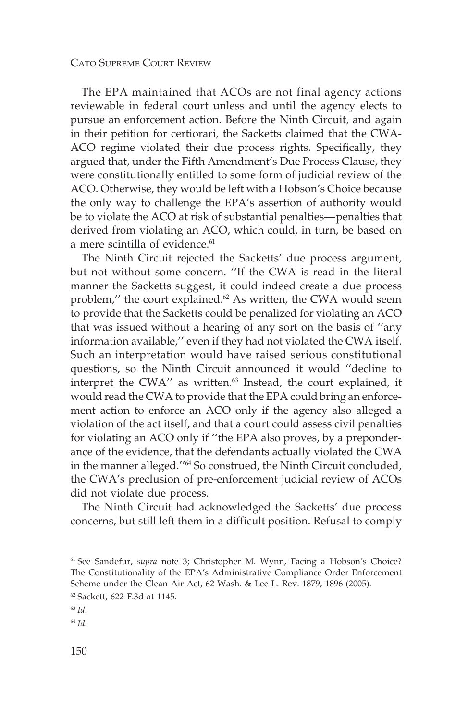The EPA maintained that ACOs are not final agency actions reviewable in federal court unless and until the agency elects to pursue an enforcement action. Before the Ninth Circuit, and again in their petition for certiorari, the Sacketts claimed that the CWA-ACO regime violated their due process rights. Specifically, they argued that, under the Fifth Amendment's Due Process Clause, they were constitutionally entitled to some form of judicial review of the ACO. Otherwise, they would be left with a Hobson's Choice because the only way to challenge the EPA's assertion of authority would be to violate the ACO at risk of substantial penalties—penalties that derived from violating an ACO, which could, in turn, be based on a mere scintilla of evidence.<sup>61</sup>

The Ninth Circuit rejected the Sacketts' due process argument, but not without some concern. ''If the CWA is read in the literal manner the Sacketts suggest, it could indeed create a due process problem," the court explained. $62$  As written, the CWA would seem to provide that the Sacketts could be penalized for violating an ACO that was issued without a hearing of any sort on the basis of ''any information available,'' even if they had not violated the CWA itself. Such an interpretation would have raised serious constitutional questions, so the Ninth Circuit announced it would ''decline to interpret the CWA" as written.<sup>63</sup> Instead, the court explained, it would read the CWA to provide that the EPA could bring an enforcement action to enforce an ACO only if the agency also alleged a violation of the act itself, and that a court could assess civil penalties for violating an ACO only if ''the EPA also proves, by a preponderance of the evidence, that the defendants actually violated the CWA in the manner alleged."<sup>64</sup> So construed, the Ninth Circuit concluded, the CWA's preclusion of pre-enforcement judicial review of ACOs did not violate due process.

The Ninth Circuit had acknowledged the Sacketts' due process concerns, but still left them in a difficult position. Refusal to comply

<sup>63</sup> *Id*.

<sup>64</sup> *Id*.

<sup>61</sup> See Sandefur, *supra* note 3; Christopher M. Wynn, Facing a Hobson's Choice? The Constitutionality of the EPA's Administrative Compliance Order Enforcement Scheme under the Clean Air Act, 62 Wash. & Lee L. Rev. 1879, 1896 (2005). <sup>62</sup> Sackett, 622 F.3d at 1145.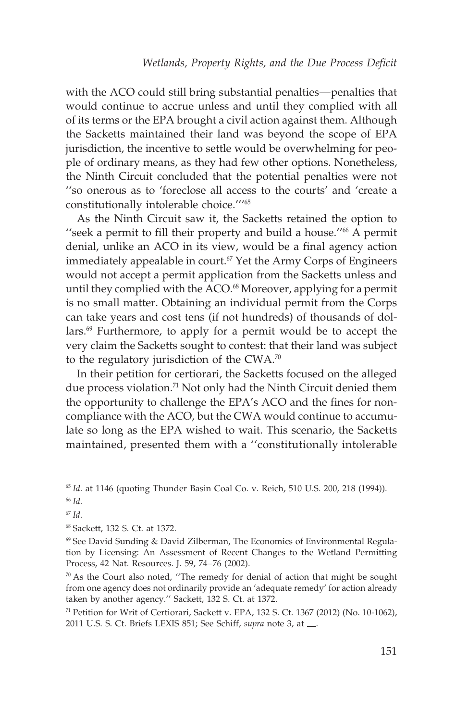with the ACO could still bring substantial penalties—penalties that would continue to accrue unless and until they complied with all of its terms or the EPA brought a civil action against them. Although the Sacketts maintained their land was beyond the scope of EPA jurisdiction, the incentive to settle would be overwhelming for people of ordinary means, as they had few other options. Nonetheless, the Ninth Circuit concluded that the potential penalties were not ''so onerous as to 'foreclose all access to the courts' and 'create a constitutionally intolerable choice.'''65

As the Ninth Circuit saw it, the Sacketts retained the option to ''seek a permit to fill their property and build a house.''66 A permit denial, unlike an ACO in its view, would be a final agency action immediately appealable in court.<sup> $67$ </sup> Yet the Army Corps of Engineers would not accept a permit application from the Sacketts unless and until they complied with the ACO.<sup>68</sup> Moreover, applying for a permit is no small matter. Obtaining an individual permit from the Corps can take years and cost tens (if not hundreds) of thousands of dollars.<sup>69</sup> Furthermore, to apply for a permit would be to accept the very claim the Sacketts sought to contest: that their land was subject to the regulatory jurisdiction of the  $CWA$ .<sup>70</sup>

In their petition for certiorari, the Sacketts focused on the alleged due process violation.<sup>71</sup> Not only had the Ninth Circuit denied them the opportunity to challenge the EPA's ACO and the fines for noncompliance with the ACO, but the CWA would continue to accumulate so long as the EPA wished to wait. This scenario, the Sacketts maintained, presented them with a ''constitutionally intolerable

<sup>65</sup> *Id*. at 1146 (quoting Thunder Basin Coal Co. v. Reich, 510 U.S. 200, 218 (1994)).

<sup>67</sup> *Id*.

<sup>68</sup> Sackett, 132 S. Ct. at 1372.

 $69$  See David Sunding & David Zilberman, The Economics of Environmental Regulation by Licensing: An Assessment of Recent Changes to the Wetland Permitting Process, 42 Nat. Resources. J. 59, 74–76 (2002).

 $70$  As the Court also noted, "The remedy for denial of action that might be sought from one agency does not ordinarily provide an 'adequate remedy' for action already taken by another agency.'' Sackett, 132 S. Ct. at 1372.

<sup>71</sup> Petition for Writ of Certiorari, Sackett v. EPA, 132 S. Ct. 1367 (2012) (No. 10-1062), 2011 U.S. S. Ct. Briefs LEXIS 851; See Schiff, *supra* note 3, at ...

<sup>66</sup> *Id*.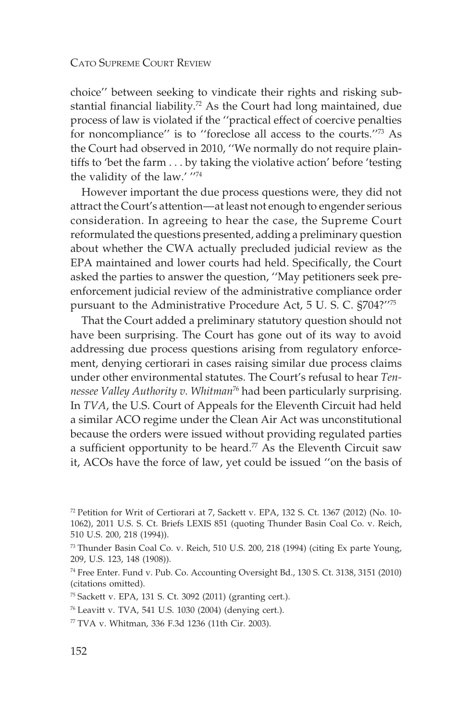choice'' between seeking to vindicate their rights and risking substantial financial liability.<sup>72</sup> As the Court had long maintained, due process of law is violated if the ''practical effect of coercive penalties for noncompliance'' is to ''foreclose all access to the courts.''73 As the Court had observed in 2010, ''We normally do not require plaintiffs to 'bet the farm . . . by taking the violative action' before 'testing the validity of the law.' ''74

However important the due process questions were, they did not attract the Court's attention—at least not enough to engender serious consideration. In agreeing to hear the case, the Supreme Court reformulated the questions presented, adding a preliminary question about whether the CWA actually precluded judicial review as the EPA maintained and lower courts had held. Specifically, the Court asked the parties to answer the question, ''May petitioners seek preenforcement judicial review of the administrative compliance order pursuant to the Administrative Procedure Act, 5 U. S. C. §704?''75

That the Court added a preliminary statutory question should not have been surprising. The Court has gone out of its way to avoid addressing due process questions arising from regulatory enforcement, denying certiorari in cases raising similar due process claims under other environmental statutes. The Court's refusal to hear *Tennessee Valley Authority v. Whitman*<sup>76</sup> had been particularly surprising. In *TVA*, the U.S. Court of Appeals for the Eleventh Circuit had held a similar ACO regime under the Clean Air Act was unconstitutional because the orders were issued without providing regulated parties a sufficient opportunity to be heard.<sup>77</sup> As the Eleventh Circuit saw it, ACOs have the force of law, yet could be issued ''on the basis of

<sup>72</sup> Petition for Writ of Certiorari at 7, Sackett v. EPA, 132 S. Ct. 1367 (2012) (No. 10- 1062), 2011 U.S. S. Ct. Briefs LEXIS 851 (quoting Thunder Basin Coal Co. v. Reich, 510 U.S. 200, 218 (1994)).

 $^{73}$  Thunder Basin Coal Co. v. Reich, 510 U.S. 200, 218 (1994) (citing Ex parte Young, 209, U.S. 123, 148 (1908)).

<sup>74</sup> Free Enter. Fund v. Pub. Co. Accounting Oversight Bd., 130 S. Ct. 3138, 3151 (2010) (citations omitted).

<sup>75</sup> Sackett v. EPA, 131 S. Ct. 3092 (2011) (granting cert.).

<sup>76</sup> Leavitt v. TVA, 541 U.S. 1030 (2004) (denying cert.).

<sup>77</sup> TVA v. Whitman, 336 F.3d 1236 (11th Cir. 2003).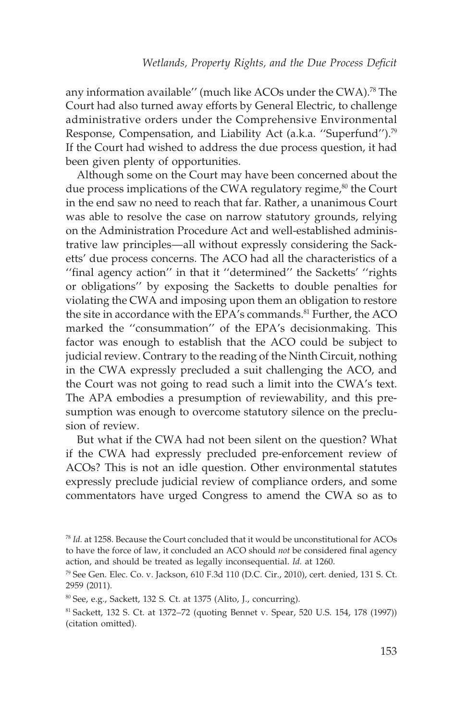any information available" (much like ACOs under the CWA).<sup>78</sup> The Court had also turned away efforts by General Electric, to challenge administrative orders under the Comprehensive Environmental Response, Compensation, and Liability Act (a.k.a. "Superfund").<sup>79</sup> If the Court had wished to address the due process question, it had been given plenty of opportunities.

Although some on the Court may have been concerned about the due process implications of the CWA regulatory regime, $80$  the Court in the end saw no need to reach that far. Rather, a unanimous Court was able to resolve the case on narrow statutory grounds, relying on the Administration Procedure Act and well-established administrative law principles—all without expressly considering the Sacketts' due process concerns. The ACO had all the characteristics of a "final agency action" in that it "determined" the Sacketts' "rights or obligations'' by exposing the Sacketts to double penalties for violating the CWA and imposing upon them an obligation to restore the site in accordance with the EPA's commands.<sup>81</sup> Further, the ACO marked the ''consummation'' of the EPA's decisionmaking. This factor was enough to establish that the ACO could be subject to judicial review. Contrary to the reading of the Ninth Circuit, nothing in the CWA expressly precluded a suit challenging the ACO, and the Court was not going to read such a limit into the CWA's text. The APA embodies a presumption of reviewability, and this presumption was enough to overcome statutory silence on the preclusion of review.

But what if the CWA had not been silent on the question? What if the CWA had expressly precluded pre-enforcement review of ACOs? This is not an idle question. Other environmental statutes expressly preclude judicial review of compliance orders, and some commentators have urged Congress to amend the CWA so as to

<sup>78</sup> *Id.* at 1258. Because the Court concluded that it would be unconstitutional for ACOs to have the force of law, it concluded an ACO should *not* be considered final agency action, and should be treated as legally inconsequential. *Id.* at 1260.

<sup>79</sup> See Gen. Elec. Co. v. Jackson, 610 F.3d 110 (D.C. Cir., 2010), cert. denied, 131 S. Ct. 2959 (2011).

<sup>80</sup> See, e.g., Sackett, 132 S. Ct. at 1375 (Alito, J., concurring).

<sup>81</sup> Sackett, 132 S. Ct. at 1372–72 (quoting Bennet v. Spear, 520 U.S. 154, 178 (1997)) (citation omitted).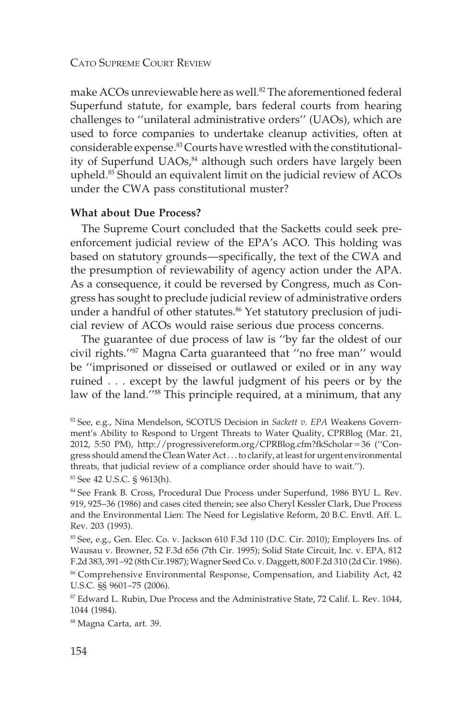make ACOs unreviewable here as well.<sup>82</sup> The aforementioned federal Superfund statute, for example, bars federal courts from hearing challenges to ''unilateral administrative orders'' (UAOs), which are used to force companies to undertake cleanup activities, often at considerable expense.83 Courts have wrestled with the constitutionality of Superfund UAOs,<sup>84</sup> although such orders have largely been upheld.85 Should an equivalent limit on the judicial review of ACOs under the CWA pass constitutional muster?

#### **What about Due Process?**

The Supreme Court concluded that the Sacketts could seek preenforcement judicial review of the EPA's ACO. This holding was based on statutory grounds—specifically, the text of the CWA and the presumption of reviewability of agency action under the APA. As a consequence, it could be reversed by Congress, much as Congress has sought to preclude judicial review of administrative orders under a handful of other statutes.<sup>86</sup> Yet statutory preclusion of judicial review of ACOs would raise serious due process concerns.

The guarantee of due process of law is ''by far the oldest of our civil rights.''87 Magna Carta guaranteed that ''no free man'' would be ''imprisoned or disseised or outlawed or exiled or in any way ruined . . . except by the lawful judgment of his peers or by the law of the land."<sup>88</sup> This principle required, at a minimum, that any

<sup>83</sup> See 42 U.S.C. § 9613(h).

<sup>84</sup> See Frank B. Cross, Procedural Due Process under Superfund, 1986 BYU L. Rev. 919, 925–36 (1986) and cases cited therein; see also Cheryl Kessler Clark, Due Process and the Environmental Lien: The Need for Legislative Reform, 20 B.C. Envtl. Aff. L. Rev. 203 (1993).

 $85$  See, e.g., Gen. Elec. Co. v. Jackson 610 F.3d 110 (D.C. Cir. 2010); Employers Ins. of Wausau v. Browner, 52 F.3d 656 (7th Cir. 1995); Solid State Circuit, Inc. v. EPA, 812 F.2d 383, 391–92 (8th Cir.1987);Wagner Seed Co. v. Daggett, 800 F.2d 310 (2d Cir. 1986).

<sup>86</sup> Comprehensive Environmental Response, Compensation, and Liability Act, 42 U.S.C. §§ 9601–75 (2006).

<sup>87</sup> Edward L. Rubin, Due Process and the Administrative State, 72 Calif. L. Rev. 1044, 1044 (1984).

<sup>88</sup> Magna Carta, art. 39.

<sup>82</sup> See, e.g., Nina Mendelson, SCOTUS Decision in *Sackett v. EPA* Weakens Government's Ability to Respond to Urgent Threats to Water Quality, CPRBlog (Mar. 21, 2012, 5:50 PM), http://progressivereform.org/CPRBlog.cfm?fkScholar-36 (''Congress should amend the CleanWater Act . . . to clarify, at least for urgent environmental threats, that judicial review of a compliance order should have to wait.'').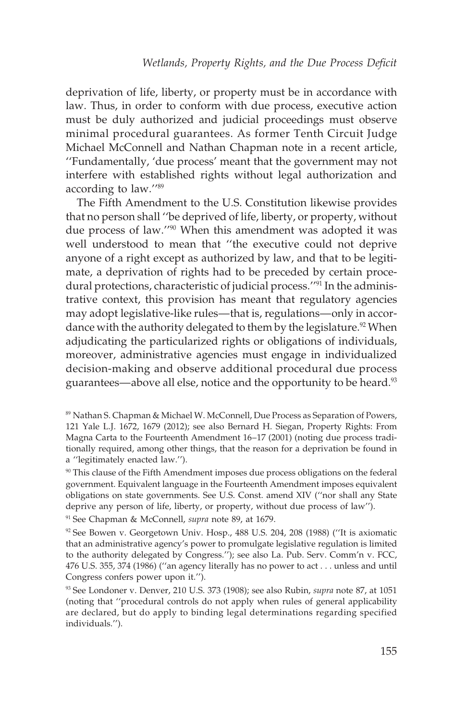deprivation of life, liberty, or property must be in accordance with law. Thus, in order to conform with due process, executive action must be duly authorized and judicial proceedings must observe minimal procedural guarantees. As former Tenth Circuit Judge Michael McConnell and Nathan Chapman note in a recent article, ''Fundamentally, 'due process' meant that the government may not interfere with established rights without legal authorization and according to law.''89

The Fifth Amendment to the U.S. Constitution likewise provides that no person shall ''be deprived of life, liberty, or property, without due process of law.''90 When this amendment was adopted it was well understood to mean that ''the executive could not deprive anyone of a right except as authorized by law, and that to be legitimate, a deprivation of rights had to be preceded by certain procedural protections, characteristic of judicial process."<sup>91</sup> In the administrative context, this provision has meant that regulatory agencies may adopt legislative-like rules—that is, regulations—only in accordance with the authority delegated to them by the legislature.<sup>92</sup> When adjudicating the particularized rights or obligations of individuals, moreover, administrative agencies must engage in individualized decision-making and observe additional procedural due process guarantees—above all else, notice and the opportunity to be heard.<sup>93</sup>

<sup>91</sup> See Chapman & McConnell, *supra* note 89, at 1679.

<sup>89</sup> Nathan S. Chapman & Michael W. McConnell, Due Process as Separation of Powers, 121 Yale L.J. 1672, 1679 (2012); see also Bernard H. Siegan, Property Rights: From Magna Carta to the Fourteenth Amendment 16–17 (2001) (noting due process traditionally required, among other things, that the reason for a deprivation be found in a ''legitimately enacted law.'').

<sup>&</sup>lt;sup>90</sup> This clause of the Fifth Amendment imposes due process obligations on the federal government. Equivalent language in the Fourteenth Amendment imposes equivalent obligations on state governments. See U.S. Const. amend XIV (''nor shall any State deprive any person of life, liberty, or property, without due process of law'').

<sup>92</sup> See Bowen v. Georgetown Univ. Hosp., 488 U.S. 204, 208 (1988) (''It is axiomatic that an administrative agency's power to promulgate legislative regulation is limited to the authority delegated by Congress.''); see also La. Pub. Serv. Comm'n v. FCC, 476 U.S. 355, 374 (1986) (''an agency literally has no power to act . . . unless and until Congress confers power upon it.'').

<sup>93</sup> See Londoner v. Denver, 210 U.S. 373 (1908); see also Rubin, *supra* note 87, at 1051 (noting that ''procedural controls do not apply when rules of general applicability are declared, but do apply to binding legal determinations regarding specified individuals.'').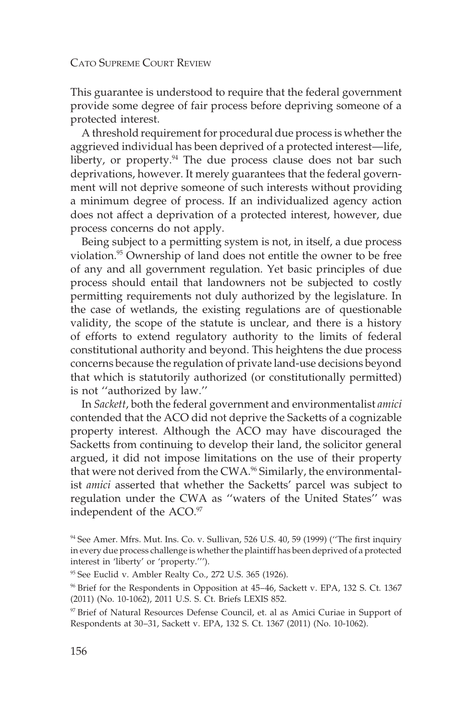This guarantee is understood to require that the federal government provide some degree of fair process before depriving someone of a protected interest.

A threshold requirement for procedural due process is whether the aggrieved individual has been deprived of a protected interest––life, liberty, or property.<sup>94</sup> The due process clause does not bar such deprivations, however. It merely guarantees that the federal government will not deprive someone of such interests without providing a minimum degree of process. If an individualized agency action does not affect a deprivation of a protected interest, however, due process concerns do not apply.

Being subject to a permitting system is not, in itself, a due process violation.<sup>95</sup> Ownership of land does not entitle the owner to be free of any and all government regulation. Yet basic principles of due process should entail that landowners not be subjected to costly permitting requirements not duly authorized by the legislature. In the case of wetlands, the existing regulations are of questionable validity, the scope of the statute is unclear, and there is a history of efforts to extend regulatory authority to the limits of federal constitutional authority and beyond. This heightens the due process concerns because the regulation of private land-use decisions beyond that which is statutorily authorized (or constitutionally permitted) is not ''authorized by law.''

In *Sackett*, both the federal government and environmentalist *amici* contended that the ACO did not deprive the Sacketts of a cognizable property interest. Although the ACO may have discouraged the Sacketts from continuing to develop their land, the solicitor general argued, it did not impose limitations on the use of their property that were not derived from the CWA.<sup>96</sup> Similarly, the environmentalist *amici* asserted that whether the Sacketts' parcel was subject to regulation under the CWA as ''waters of the United States'' was independent of the ACO.<sup>97</sup>

<sup>&</sup>lt;sup>94</sup> See Amer. Mfrs. Mut. Ins. Co. v. Sullivan, 526 U.S. 40, 59 (1999) ("The first inquiry in every due process challenge is whether the plaintiff has been deprived of a protected interest in 'liberty' or 'property.''').

<sup>95</sup> See Euclid v. Ambler Realty Co., 272 U.S. 365 (1926).

<sup>96</sup> Brief for the Respondents in Opposition at 45–46, Sackett v. EPA, 132 S. Ct. 1367 (2011) (No. 10-1062), 2011 U.S. S. Ct. Briefs LEXIS 852.

<sup>97</sup> Brief of Natural Resources Defense Council, et. al as Amici Curiae in Support of Respondents at 30–31, Sackett v. EPA, 132 S. Ct. 1367 (2011) (No. 10-1062).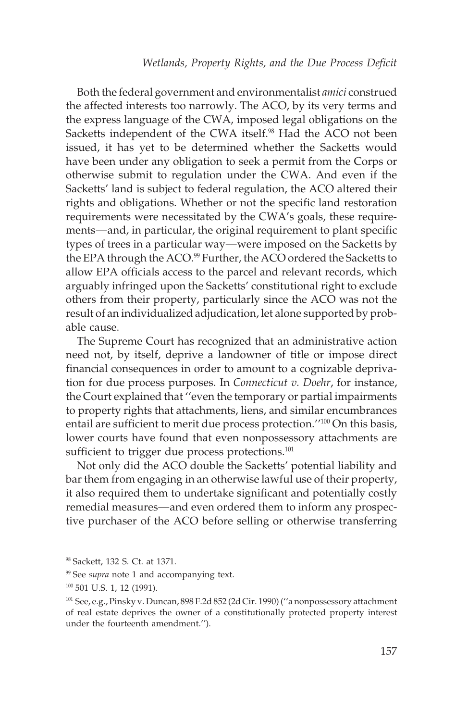Both the federal government and environmentalist *amici* construed the affected interests too narrowly. The ACO, by its very terms and the express language of the CWA, imposed legal obligations on the Sacketts independent of the CWA itself.<sup>98</sup> Had the ACO not been issued, it has yet to be determined whether the Sacketts would have been under any obligation to seek a permit from the Corps or otherwise submit to regulation under the CWA. And even if the Sacketts' land is subject to federal regulation, the ACO altered their rights and obligations. Whether or not the specific land restoration requirements were necessitated by the CWA's goals, these requirements—and, in particular, the original requirement to plant specific types of trees in a particular way—were imposed on the Sacketts by the EPA through the ACO.<sup>99</sup> Further, the ACO ordered the Sacketts to allow EPA officials access to the parcel and relevant records, which arguably infringed upon the Sacketts' constitutional right to exclude others from their property, particularly since the ACO was not the result of an individualized adjudication, let alone supported by probable cause.

The Supreme Court has recognized that an administrative action need not, by itself, deprive a landowner of title or impose direct financial consequences in order to amount to a cognizable deprivation for due process purposes. In *Connecticut v. Doehr*, for instance, the Court explained that ''even the temporary or partial impairments to property rights that attachments, liens, and similar encumbrances entail are sufficient to merit due process protection."<sup>100</sup> On this basis, lower courts have found that even nonpossessory attachments are sufficient to trigger due process protections.<sup>101</sup>

Not only did the ACO double the Sacketts' potential liability and bar them from engaging in an otherwise lawful use of their property, it also required them to undertake significant and potentially costly remedial measures—and even ordered them to inform any prospective purchaser of the ACO before selling or otherwise transferring

<sup>98</sup> Sackett, 132 S. Ct. at 1371.

<sup>&</sup>lt;sup>99</sup> See *supra* note 1 and accompanying text.

<sup>&</sup>lt;sup>100</sup> 501 U.S. 1, 12 (1991).

<sup>101</sup> See, e.g., Pinsky v. Duncan, 898 F.2d 852 (2d Cir. 1990) (''a nonpossessory attachment of real estate deprives the owner of a constitutionally protected property interest under the fourteenth amendment.'').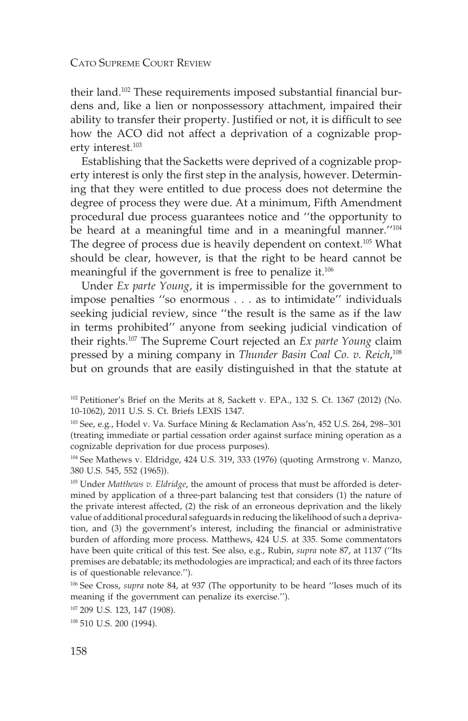their land.102 These requirements imposed substantial financial burdens and, like a lien or nonpossessory attachment, impaired their ability to transfer their property. Justified or not, it is difficult to see how the ACO did not affect a deprivation of a cognizable property interest.<sup>103</sup>

Establishing that the Sacketts were deprived of a cognizable property interest is only the first step in the analysis, however. Determining that they were entitled to due process does not determine the degree of process they were due. At a minimum, Fifth Amendment procedural due process guarantees notice and ''the opportunity to be heard at a meaningful time and in a meaningful manner.''104 The degree of process due is heavily dependent on context.105 What should be clear, however, is that the right to be heard cannot be meaningful if the government is free to penalize it.106

Under *Ex parte Young*, it is impermissible for the government to impose penalties ''so enormous . . . as to intimidate'' individuals seeking judicial review, since ''the result is the same as if the law in terms prohibited'' anyone from seeking judicial vindication of their rights.107 The Supreme Court rejected an *Ex parte Young* claim pressed by a mining company in *Thunder Basin Coal Co. v. Reich*, 108 but on grounds that are easily distinguished in that the statute at

<sup>105</sup> Under *Matthews v. Eldridge*, the amount of process that must be afforded is determined by application of a three-part balancing test that considers (1) the nature of the private interest affected, (2) the risk of an erroneous deprivation and the likely value of additional procedural safeguards in reducing the likelihood of such a deprivation, and (3) the government's interest, including the financial or administrative burden of affording more process. Matthews, 424 U.S. at 335. Some commentators have been quite critical of this test. See also, e.g., Rubin, *supra* note 87, at 1137 (''Its premises are debatable; its methodologies are impractical; and each of its three factors is of questionable relevance.'').

<sup>106</sup> See Cross, *supra* note 84, at 937 (The opportunity to be heard ''loses much of its meaning if the government can penalize its exercise.'').

<sup>107</sup> 209 U.S. 123, 147 (1908).

<sup>&</sup>lt;sup>102</sup> Petitioner's Brief on the Merits at 8, Sackett v. EPA., 132 S. Ct. 1367 (2012) (No. 10-1062), 2011 U.S. S. Ct. Briefs LEXIS 1347.

<sup>103</sup> See, e.g., Hodel v. Va. Surface Mining & Reclamation Ass'n, 452 U.S. 264, 298–301 (treating immediate or partial cessation order against surface mining operation as a cognizable deprivation for due process purposes).

<sup>104</sup> See Mathews v. Eldridge, 424 U.S. 319, 333 (1976) (quoting Armstrong v. Manzo, 380 U.S. 545, 552 (1965)).

<sup>&</sup>lt;sup>108</sup> 510 U.S. 200 (1994).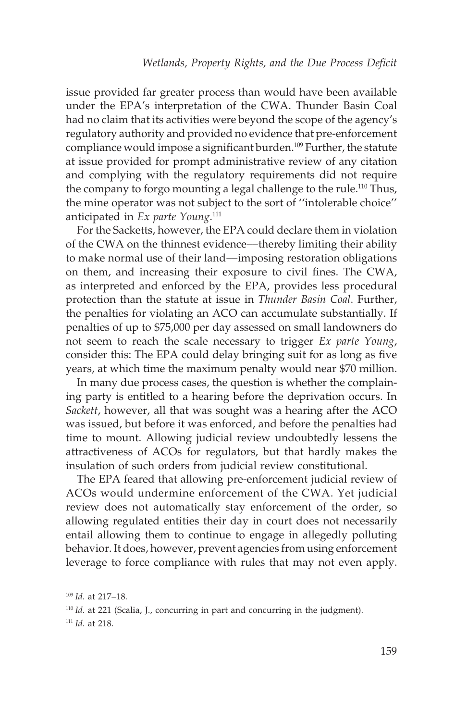issue provided far greater process than would have been available under the EPA's interpretation of the CWA. Thunder Basin Coal had no claim that its activities were beyond the scope of the agency's regulatory authority and provided no evidence that pre-enforcement compliance would impose a significant burden.<sup>109</sup> Further, the statute at issue provided for prompt administrative review of any citation and complying with the regulatory requirements did not require the company to forgo mounting a legal challenge to the rule.<sup>110</sup> Thus, the mine operator was not subject to the sort of ''intolerable choice'' anticipated in *Ex parte Young*. 111

For the Sacketts, however, the EPA could declare them in violation of the CWA on the thinnest evidence––thereby limiting their ability to make normal use of their land––imposing restoration obligations on them, and increasing their exposure to civil fines. The CWA, as interpreted and enforced by the EPA, provides less procedural protection than the statute at issue in *Thunder Basin Coal*. Further, the penalties for violating an ACO can accumulate substantially. If penalties of up to \$75,000 per day assessed on small landowners do not seem to reach the scale necessary to trigger *Ex parte Young*, consider this: The EPA could delay bringing suit for as long as five years, at which time the maximum penalty would near \$70 million.

In many due process cases, the question is whether the complaining party is entitled to a hearing before the deprivation occurs. In *Sackett*, however, all that was sought was a hearing after the ACO was issued, but before it was enforced, and before the penalties had time to mount. Allowing judicial review undoubtedly lessens the attractiveness of ACOs for regulators, but that hardly makes the insulation of such orders from judicial review constitutional.

The EPA feared that allowing pre-enforcement judicial review of ACOs would undermine enforcement of the CWA. Yet judicial review does not automatically stay enforcement of the order, so allowing regulated entities their day in court does not necessarily entail allowing them to continue to engage in allegedly polluting behavior. It does, however, prevent agencies from using enforcement leverage to force compliance with rules that may not even apply.

<sup>109</sup> *Id.* at 217–18.

<sup>&</sup>lt;sup>110</sup> *Id.* at 221 (Scalia, J., concurring in part and concurring in the judgment).

<sup>111</sup> *Id.* at 218.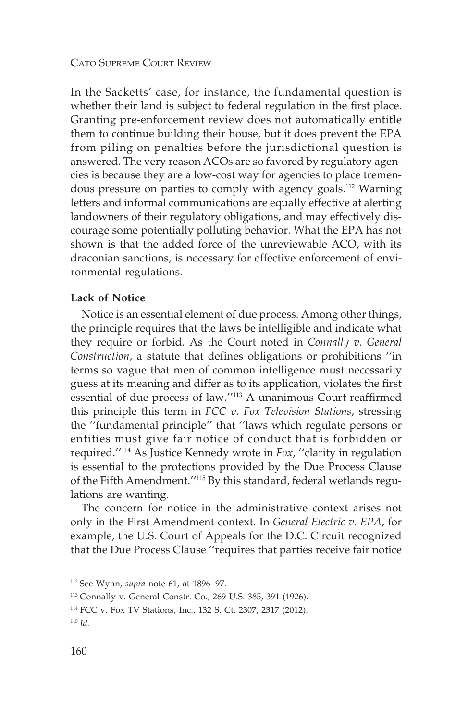In the Sacketts' case, for instance, the fundamental question is whether their land is subject to federal regulation in the first place. Granting pre-enforcement review does not automatically entitle them to continue building their house, but it does prevent the EPA from piling on penalties before the jurisdictional question is answered. The very reason ACOs are so favored by regulatory agencies is because they are a low-cost way for agencies to place tremendous pressure on parties to comply with agency goals.112 Warning letters and informal communications are equally effective at alerting landowners of their regulatory obligations, and may effectively discourage some potentially polluting behavior. What the EPA has not shown is that the added force of the unreviewable ACO, with its draconian sanctions, is necessary for effective enforcement of environmental regulations.

### **Lack of Notice**

Notice is an essential element of due process. Among other things, the principle requires that the laws be intelligible and indicate what they require or forbid. As the Court noted in *Connally v. General Construction*, a statute that defines obligations or prohibitions ''in terms so vague that men of common intelligence must necessarily guess at its meaning and differ as to its application, violates the first essential of due process of law.''113 A unanimous Court reaffirmed this principle this term in *FCC v. Fox Television Stations*, stressing the ''fundamental principle'' that ''laws which regulate persons or entities must give fair notice of conduct that is forbidden or required.''114 As Justice Kennedy wrote in *Fox*, ''clarity in regulation is essential to the protections provided by the Due Process Clause of the Fifth Amendment.''115 By this standard, federal wetlands regulations are wanting.

The concern for notice in the administrative context arises not only in the First Amendment context. In *General Electric v. EPA*, for example, the U.S. Court of Appeals for the D.C. Circuit recognized that the Due Process Clause ''requires that parties receive fair notice

<sup>112</sup> See Wynn, *supra* note 61, at 1896–97.

<sup>113</sup> Connally v. General Constr. Co., 269 U.S. 385, 391 (1926).

<sup>114</sup> FCC v. Fox TV Stations, Inc., 132 S. Ct. 2307, 2317 (2012).

<sup>115</sup> *Id.*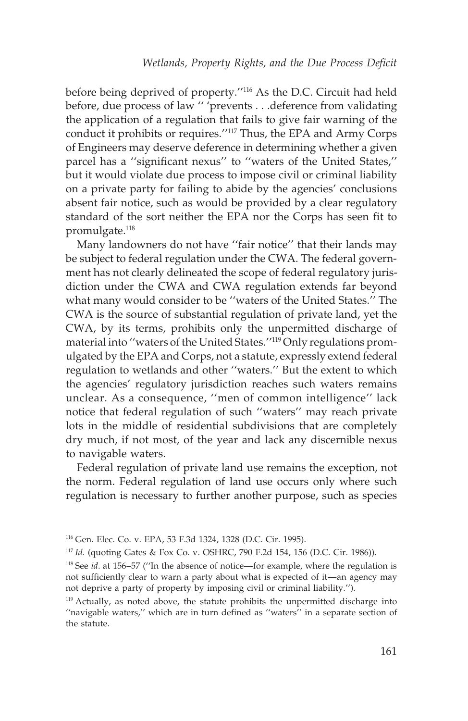before being deprived of property.''116 As the D.C. Circuit had held before, due process of law '' 'prevents . . .deference from validating the application of a regulation that fails to give fair warning of the conduct it prohibits or requires.''117 Thus, the EPA and Army Corps of Engineers may deserve deference in determining whether a given parcel has a ''significant nexus'' to ''waters of the United States,'' but it would violate due process to impose civil or criminal liability on a private party for failing to abide by the agencies' conclusions absent fair notice, such as would be provided by a clear regulatory standard of the sort neither the EPA nor the Corps has seen fit to promulgate.<sup>118</sup>

Many landowners do not have ''fair notice'' that their lands may be subject to federal regulation under the CWA. The federal government has not clearly delineated the scope of federal regulatory jurisdiction under the CWA and CWA regulation extends far beyond what many would consider to be ''waters of the United States.'' The CWA is the source of substantial regulation of private land, yet the CWA, by its terms, prohibits only the unpermitted discharge of material into ''waters of the United States.''119 Only regulations promulgated by the EPA and Corps, not a statute, expressly extend federal regulation to wetlands and other ''waters.'' But the extent to which the agencies' regulatory jurisdiction reaches such waters remains unclear. As a consequence, ''men of common intelligence'' lack notice that federal regulation of such ''waters'' may reach private lots in the middle of residential subdivisions that are completely dry much, if not most, of the year and lack any discernible nexus to navigable waters.

Federal regulation of private land use remains the exception, not the norm. Federal regulation of land use occurs only where such regulation is necessary to further another purpose, such as species

<sup>116</sup> Gen. Elec. Co. v. EPA, 53 F.3d 1324, 1328 (D.C. Cir. 1995).

<sup>117</sup> *Id.* (quoting Gates & Fox Co. v. OSHRC, 790 F.2d 154, 156 (D.C. Cir. 1986)).

<sup>118</sup> See *id*. at 156–57 (''In the absence of notice—for example, where the regulation is not sufficiently clear to warn a party about what is expected of it—an agency may not deprive a party of property by imposing civil or criminal liability.'').

<sup>119</sup> Actually, as noted above, the statute prohibits the unpermitted discharge into "navigable waters," which are in turn defined as "waters" in a separate section of the statute.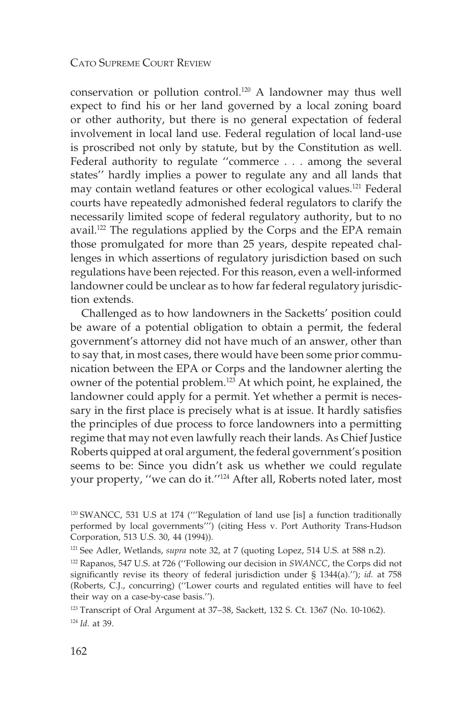conservation or pollution control.120 A landowner may thus well expect to find his or her land governed by a local zoning board or other authority, but there is no general expectation of federal involvement in local land use. Federal regulation of local land-use is proscribed not only by statute, but by the Constitution as well. Federal authority to regulate ''commerce... among the several states'' hardly implies a power to regulate any and all lands that may contain wetland features or other ecological values.121 Federal courts have repeatedly admonished federal regulators to clarify the necessarily limited scope of federal regulatory authority, but to no avail.122 The regulations applied by the Corps and the EPA remain those promulgated for more than 25 years, despite repeated challenges in which assertions of regulatory jurisdiction based on such regulations have been rejected. For this reason, even a well-informed landowner could be unclear as to how far federal regulatory jurisdiction extends.

Challenged as to how landowners in the Sacketts' position could be aware of a potential obligation to obtain a permit, the federal government's attorney did not have much of an answer, other than to say that, in most cases, there would have been some prior communication between the EPA or Corps and the landowner alerting the owner of the potential problem.<sup>123</sup> At which point, he explained, the landowner could apply for a permit. Yet whether a permit is necessary in the first place is precisely what is at issue. It hardly satisfies the principles of due process to force landowners into a permitting regime that may not even lawfully reach their lands. As Chief Justice Roberts quipped at oral argument, the federal government's position seems to be: Since you didn't ask us whether we could regulate your property, ''we can do it.''124 After all, Roberts noted later, most

<sup>120</sup> SWANCC, 531 U.S at 174 ('''Regulation of land use [is] a function traditionally performed by local governments''') (citing Hess v. Port Authority Trans-Hudson Corporation, 513 U.S. 30, 44 (1994)).

<sup>121</sup> See Adler, Wetlands, *supra* note 32, at 7 (quoting Lopez, 514 U.S. at 588 n.2).

<sup>122</sup> Rapanos, 547 U.S. at 726 (''Following our decision in *SWANCC*, the Corps did not significantly revise its theory of federal jurisdiction under § 1344(a).''); *id.* at 758 (Roberts, C.J., concurring) (''Lower courts and regulated entities will have to feel their way on a case-by-case basis.'').

<sup>123</sup> Transcript of Oral Argument at 37–38, Sackett, 132 S. Ct. 1367 (No. 10-1062). <sup>124</sup> *Id.* at 39.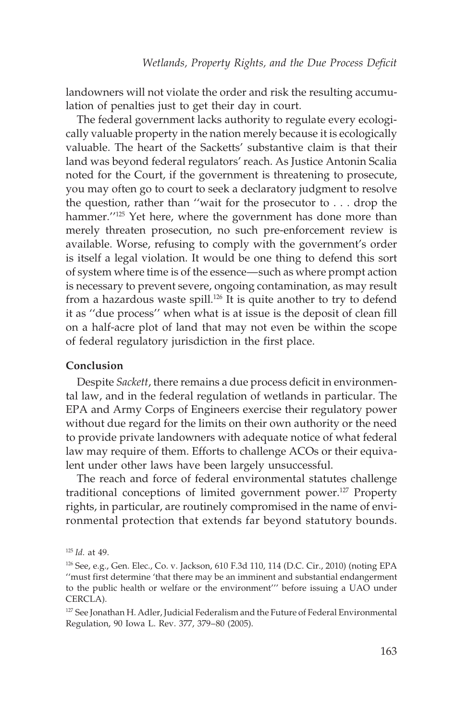landowners will not violate the order and risk the resulting accumulation of penalties just to get their day in court.

The federal government lacks authority to regulate every ecologically valuable property in the nation merely because it is ecologically valuable. The heart of the Sacketts' substantive claim is that their land was beyond federal regulators' reach. As Justice Antonin Scalia noted for the Court, if the government is threatening to prosecute, you may often go to court to seek a declaratory judgment to resolve the question, rather than ''wait for the prosecutor to . . . drop the hammer."<sup>125</sup> Yet here, where the government has done more than merely threaten prosecution, no such pre-enforcement review is available. Worse, refusing to comply with the government's order is itself a legal violation. It would be one thing to defend this sort of system where time is of the essence—such as where prompt action is necessary to prevent severe, ongoing contamination, as may result from a hazardous waste spill.<sup>126</sup> It is quite another to try to defend it as ''due process'' when what is at issue is the deposit of clean fill on a half-acre plot of land that may not even be within the scope of federal regulatory jurisdiction in the first place.

#### **Conclusion**

Despite *Sackett*, there remains a due process deficit in environmental law, and in the federal regulation of wetlands in particular. The EPA and Army Corps of Engineers exercise their regulatory power without due regard for the limits on their own authority or the need to provide private landowners with adequate notice of what federal law may require of them. Efforts to challenge ACOs or their equivalent under other laws have been largely unsuccessful.

The reach and force of federal environmental statutes challenge traditional conceptions of limited government power.127 Property rights, in particular, are routinely compromised in the name of environmental protection that extends far beyond statutory bounds.

<sup>125</sup> *Id.* at 49.

<sup>126</sup> See, e.g., Gen. Elec., Co. v. Jackson, 610 F.3d 110, 114 (D.C. Cir., 2010) (noting EPA ''must first determine 'that there may be an imminent and substantial endangerment to the public health or welfare or the environment''' before issuing a UAO under CERCLA).

<sup>&</sup>lt;sup>127</sup> See Jonathan H. Adler, Judicial Federalism and the Future of Federal Environmental Regulation, 90 Iowa L. Rev. 377, 379–80 (2005).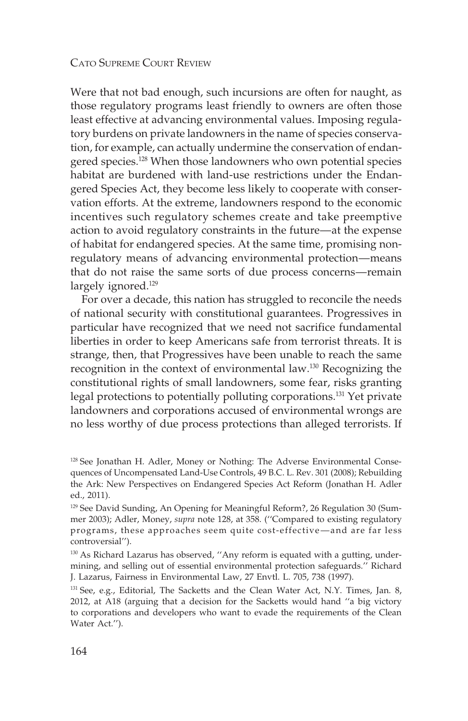Were that not bad enough, such incursions are often for naught, as those regulatory programs least friendly to owners are often those least effective at advancing environmental values. Imposing regulatory burdens on private landowners in the name of species conservation, for example, can actually undermine the conservation of endangered species.128 When those landowners who own potential species habitat are burdened with land-use restrictions under the Endangered Species Act, they become less likely to cooperate with conservation efforts. At the extreme, landowners respond to the economic incentives such regulatory schemes create and take preemptive action to avoid regulatory constraints in the future—at the expense of habitat for endangered species. At the same time, promising nonregulatory means of advancing environmental protection––means that do not raise the same sorts of due process concerns—remain largely ignored.<sup>129</sup>

For over a decade, this nation has struggled to reconcile the needs of national security with constitutional guarantees. Progressives in particular have recognized that we need not sacrifice fundamental liberties in order to keep Americans safe from terrorist threats. It is strange, then, that Progressives have been unable to reach the same recognition in the context of environmental law.130 Recognizing the constitutional rights of small landowners, some fear, risks granting legal protections to potentially polluting corporations.131 Yet private landowners and corporations accused of environmental wrongs are no less worthy of due process protections than alleged terrorists. If

<sup>&</sup>lt;sup>128</sup> See Jonathan H. Adler, Money or Nothing: The Adverse Environmental Consequences of Uncompensated Land-Use Controls, 49 B.C. L. Rev. 301 (2008); Rebuilding the Ark: New Perspectives on Endangered Species Act Reform (Jonathan H. Adler ed., 2011).

<sup>&</sup>lt;sup>129</sup> See David Sunding, An Opening for Meaningful Reform?, 26 Regulation 30 (Summer 2003); Adler, Money, *supra* note 128, at 358. (''Compared to existing regulatory programs, these approaches seem quite cost-effective—and are far less controversial'').

<sup>&</sup>lt;sup>130</sup> As Richard Lazarus has observed, "Any reform is equated with a gutting, undermining, and selling out of essential environmental protection safeguards.'' Richard J. Lazarus, Fairness in Environmental Law, 27 Envtl. L. 705, 738 (1997).

<sup>&</sup>lt;sup>131</sup> See, e.g., Editorial, The Sacketts and the Clean Water Act, N.Y. Times, Jan. 8, 2012, at A18 (arguing that a decision for the Sacketts would hand ''a big victory to corporations and developers who want to evade the requirements of the Clean Water Act.'').